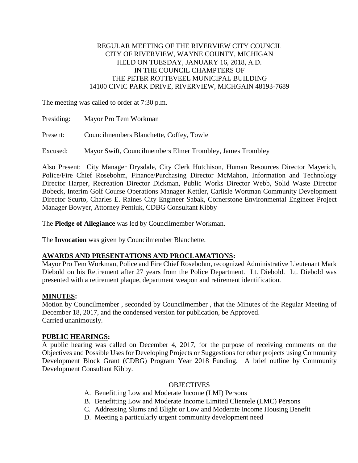## REGULAR MEETING OF THE RIVERVIEW CITY COUNCIL CITY OF RIVERVIEW, WAYNE COUNTY, MICHIGAN HELD ON TUESDAY, JANUARY 16, 2018, A.D. IN THE COUNCIL CHAMPTERS OF THE PETER ROTTEVEEL MUNICIPAL BUILDING 14100 CIVIC PARK DRIVE, RIVERVIEW, MICHGAIN 48193-7689

The meeting was called to order at 7:30 p.m.

| Presiding: | Mayor Pro Tem Workman                                      |
|------------|------------------------------------------------------------|
| Present:   | Councilmembers Blanchette, Coffey, Towle                   |
| Excused:   | Mayor Swift, Councilmembers Elmer Trombley, James Trombley |

Also Present: City Manager Drysdale, City Clerk Hutchison, Human Resources Director Mayerich, Police/Fire Chief Rosebohm, Finance/Purchasing Director McMahon, Information and Technology Director Harper, Recreation Director Dickman, Public Works Director Webb, Solid Waste Director Bobeck, Interim Golf Course Operations Manager Kettler, Carlisle Wortman Community Development Director Scurto, Charles E. Raines City Engineer Sabak, Cornerstone Environmental Engineer Project Manager Bowyer, Attorney Pentiuk, CDBG Consultant Kibby

The **Pledge of Allegiance** was led by Councilmember Workman.

The **Invocation** was given by Councilmember Blanchette.

# **AWARDS AND PRESENTATIONS AND PROCLAMATIONS:**

Mayor Pro Tem Workman, Police and Fire Chief Rosebohm, recognized Administrative Lieutenant Mark Diebold on his Retirement after 27 years from the Police Department. Lt. Diebold. Lt. Diebold was presented with a retirement plaque, department weapon and retirement identification.

## **MINUTES:**

Motion by Councilmember , seconded by Councilmember , that the Minutes of the Regular Meeting of December 18, 2017, and the condensed version for publication, be Approved. Carried unanimously.

## **PUBLIC HEARINGS:**

A public hearing was called on December 4, 2017, for the purpose of receiving comments on the Objectives and Possible Uses for Developing Projects or Suggestions for other projects using Community Development Block Grant (CDBG) Program Year 2018 Funding. A brief outline by Community Development Consultant Kibby.

## **OBJECTIVES**

- A. Benefitting Low and Moderate Income (LMI) Persons
- B. Benefitting Low and Moderate Income Limited Clientele (LMC) Persons
- C. Addressing Slums and Blight or Low and Moderate Income Housing Benefit
- D. Meeting a particularly urgent community development need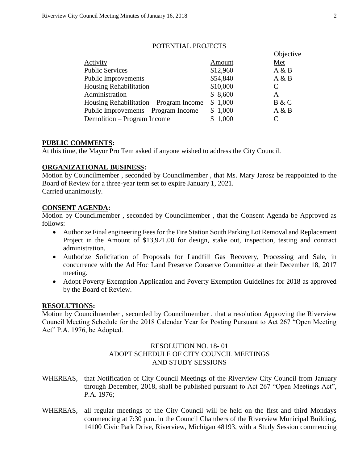|                                         |          | Objective |
|-----------------------------------------|----------|-----------|
| Activity                                | Amount   | Met       |
| <b>Public Services</b>                  | \$12,960 | A & B     |
| <b>Public Improvements</b>              | \$54,840 | A & B     |
| <b>Housing Rehabilitation</b>           | \$10,000 | C         |
| Administration                          | \$8,600  | A         |
| Housing Rehabilitation – Program Income | \$1,000  | B & C     |
| Public Improvements – Program Income    | \$1,000  | A & B     |
| Demolition – Program Income             | \$1,000  | C         |
|                                         |          |           |

## POTENTIAL PROJECTS

## **PUBLIC COMMENTS:**

At this time, the Mayor Pro Tem asked if anyone wished to address the City Council.

## **ORGANIZATIONAL BUSINESS:**

Motion by Councilmember , seconded by Councilmember , that Ms. Mary Jarosz be reappointed to the Board of Review for a three-year term set to expire January 1, 2021. Carried unanimously.

#### **CONSENT AGENDA:**

Motion by Councilmember , seconded by Councilmember , that the Consent Agenda be Approved as follows:

- Authorize Final engineering Fees for the Fire Station South Parking Lot Removal and Replacement Project in the Amount of \$13,921.00 for design, stake out, inspection, testing and contract administration.
- Authorize Solicitation of Proposals for Landfill Gas Recovery, Processing and Sale, in concurrence with the Ad Hoc Land Preserve Conserve Committee at their December 18, 2017 meeting.
- Adopt Poverty Exemption Application and Poverty Exemption Guidelines for 2018 as approved by the Board of Review.

#### **RESOLUTIONS:**

Motion by Councilmember , seconded by Councilmember , that a resolution Approving the Riverview Council Meeting Schedule for the 2018 Calendar Year for Posting Pursuant to Act 267 "Open Meeting Act" P.A. 1976, be Adopted.

## RESOLUTION NO. 18- 01 ADOPT SCHEDULE OF CITY COUNCIL MEETINGS AND STUDY SESSIONS

- WHEREAS, that Notification of City Council Meetings of the Riverview City Council from January through December, 2018, shall be published pursuant to Act 267 "Open Meetings Act", P.A. 1976;
- WHEREAS, all regular meetings of the City Council will be held on the first and third Mondays commencing at 7:30 p.m. in the Council Chambers of the Riverview Municipal Building, 14100 Civic Park Drive, Riverview, Michigan 48193, with a Study Session commencing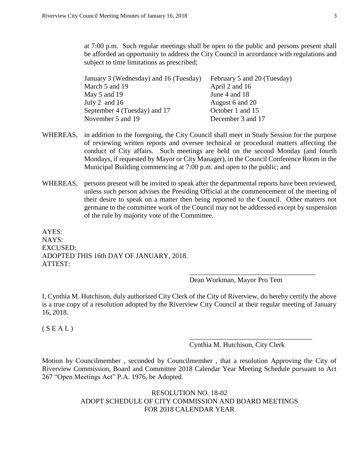at 7:00 p.m. Such regular meetings shall be open to the public and persons present shall be afforded an opportunity to address the City Council in accordance with regulations and subject to time limitations as prescribed;

| January 3 (Wednesday) and 16 (Tuesday) | February 5 and 20 (Tuesday) |
|----------------------------------------|-----------------------------|
| March 5 and 19                         | April 2 and 16              |
| May 5 and 19                           | June 4 and 18               |
| July 2 and $16$                        | August 6 and 20             |
| September 4 (Tuesday) and 17           | October 1 and 15            |
| November 5 and 19                      | December 3 and 17           |

- WHEREAS, in addition to the foregoing, the City Council shall meet in Study Session for the purpose of reviewing written reports and oversee technical or procedural matters affecting the conduct of City affairs. Such meetings are held on the second Monday (and fourth Mondays, if requested by Mayor or City Manager), in the Council Conference Room in the Municipal Building commencing at 7:00 p.m. and open to the public; and
- WHEREAS, persons present will be invited to speak after the departmental reports have been reviewed, unless such person advises the Presiding Official at the commencement of the meeting of their desire to speak on a matter then being reported to the Council. Other matters not germane to the committee work of the Council may not be addressed except by suspension of the rule by majority vote of the Committee.

AYES: NAYS: EXCUSED: ADOPTED THIS 16th DAY OF JANUARY, 2018. ATTEST:

Dean Workman, Mayor Pro Tem

\_\_\_\_\_\_\_\_\_\_\_\_\_\_\_\_\_\_\_\_\_\_\_\_\_\_\_\_\_\_\_\_\_\_\_\_

I, Cynthia M. Hutchison, duly authorized City Clerk of the City of Riverview, do hereby certify the above is a true copy of a resolution adopted by the Riverview City Council at their regular meeting of January 16, 2018.

 $(S E A L)$ 

Cynthia M. Hutchison, City Clerk

\_\_\_\_\_\_\_\_\_\_\_\_\_\_\_\_\_\_\_\_\_\_\_\_\_\_\_\_\_\_\_\_\_\_\_

Motion by Councilmember , seconded by Councilmember , that a resolution Approving the City of Riverview Commission, Board and Committee 2018 Calendar Year Meeting Schedule pursuant to Act 267 "Open Meetings Act" P.A. 1976, be Adopted.

> RESOLUTION NO. 18-02 ADOPT SCHEDULE OF CITY COMMISSION AND BOARD MEETINGS FOR 2018 CALENDAR YEAR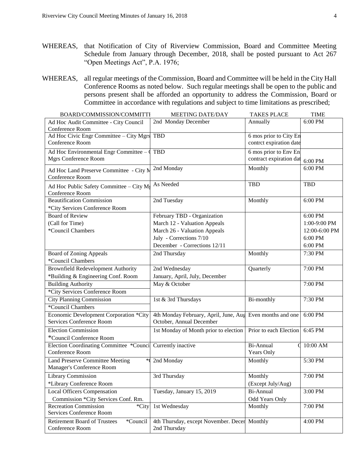- WHEREAS, that Notification of City of Riverview Commission, Board and Committee Meeting Schedule from January through December, 2018, shall be posted pursuant to Act 267 "Open Meetings Act", P.A. 1976;
- WHEREAS, all regular meetings of the Commission, Board and Committee will be held in the City Hall Conference Rooms as noted below. Such regular meetings shall be open to the public and persons present shall be afforded an opportunity to address the Commission, Board or Committee in accordance with regulations and subject to time limitations as prescribed;

| BOARD/COMMISSION/COMMITTI                                         | <b>MEETING DATE/DAY</b>                                   | <b>TAKES PLACE</b>      | <b>TIME</b>                  |
|-------------------------------------------------------------------|-----------------------------------------------------------|-------------------------|------------------------------|
| Ad Hoc Audit Committee - City Council                             | 2nd Monday December                                       | Annually                | 6:00 PM                      |
| Conference Room                                                   |                                                           |                         |                              |
| Ad Hoc Civic Engr Committee - City Mgrs                           | <b>TBD</b>                                                | 6 mos prior to City En  |                              |
| Conference Room                                                   |                                                           | contrct expiration date |                              |
| Ad Hoc Environmental Engr Committee $-$                           | <b>TBD</b>                                                | 6 mos prior to Env En   |                              |
| Mgrs Conference Room                                              |                                                           | contract expiration dat | 6:00 PM                      |
| Ad Hoc Land Preserve Committee - City M                           | 2nd Monday                                                | Monthly                 | 6:00 PM                      |
| Conference Room                                                   |                                                           |                         |                              |
| Ad Hoc Public Safety Committee - City M                           | As Needed                                                 | <b>TBD</b>              | <b>TBD</b>                   |
| Conference Room                                                   |                                                           |                         |                              |
| <b>Beautification Commission</b>                                  | 2nd Tuesday                                               | Monthly                 | 6:00 PM                      |
| *City Services Conference Room                                    |                                                           |                         |                              |
| <b>Board of Review</b>                                            | February TBD - Organization                               |                         | 6:00 PM                      |
| (Call for Time)                                                   | March 12 - Valuation Appeals                              |                         | 1:00-9:00 PM                 |
| *Council Chambers                                                 | March 26 - Valuation Appeals                              |                         | 12:00-6:00 PM                |
|                                                                   | July - Corrections 7/10                                   |                         | 6:00 PM                      |
|                                                                   | December - Corrections 12/11                              |                         | 6:00 PM                      |
| <b>Board of Zoning Appeals</b>                                    | 2nd Thursday                                              | Monthly                 | $\overline{7:}30 \text{ PM}$ |
| *Council Chambers                                                 |                                                           |                         |                              |
| <b>Brownfield Redevelopment Authority</b>                         | 2nd Wednesday                                             | Quarterly               | 7:00 PM                      |
| *Building & Engineering Conf. Room                                | January, April, July, December                            |                         |                              |
| <b>Building Authority</b>                                         | May & October                                             |                         | 7:00 PM                      |
| *City Services Conference Room                                    |                                                           |                         |                              |
| <b>City Planning Commission</b>                                   | 1st & 3rd Thursdays                                       | Bi-monthly              | 7:30 PM                      |
| *Council Chambers                                                 |                                                           |                         |                              |
| Economic Development Corporation *City                            | 4th Monday February, April, June, Aug Even months and one |                         | 6:00 PM                      |
| Services Conference Room                                          | October, Annual December                                  |                         |                              |
| <b>Election Commission</b>                                        | 1st Monday of Month prior to election                     | Prior to each Election  | 6:45 PM                      |
| *Council Conference Room                                          |                                                           |                         |                              |
| Election Coordinating Committee *Counci                           | Currently inactive                                        | Bi-Annual               | 10:00 AM                     |
| Conference Room                                                   |                                                           | <b>Years Only</b>       |                              |
| <b>Land Preserve Committee Meeting</b>                            | 2nd Monday                                                | Monthly                 | 5:30 PM                      |
| Manager's Conference Room                                         |                                                           |                         |                              |
| <b>Library Commission</b>                                         | 3rd Thursday                                              | Monthly                 | 7:00 PM                      |
| *Library Conference Room                                          |                                                           | (Except July/Aug)       |                              |
| <b>Local Officers Compensation</b>                                | Tuesday, January 15, 2019                                 | Bi-Annual               | 3:00 PM                      |
| Commission *City Services Conf. Rm.                               |                                                           | Odd Years Only          |                              |
| <b>Recreation Commission</b><br>*City<br>Services Conference Room | 1st Wednesday                                             | Monthly                 | 7:00 PM                      |
| *Council<br><b>Retirement Board of Trustees</b>                   | 4th Thursday, except November. Decer Monthly              |                         | 4:00 PM                      |
| Conference Room                                                   | 2nd Thursday                                              |                         |                              |
|                                                                   |                                                           |                         |                              |